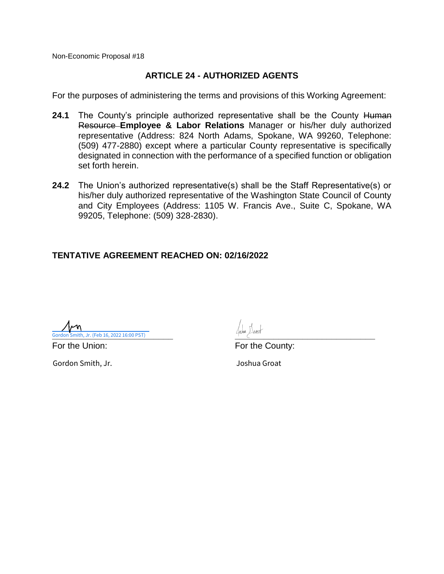### **ARTICLE 24 - AUTHORIZED AGENTS**

For the purposes of administering the terms and provisions of this Working Agreement:

- 24.1 The County's principle authorized representative shall be the County Human Resource **Employee & Labor Relations** Manager or his/her duly authorized representative (Address: 824 North Adams, Spokane, WA 99260, Telephone: (509) 477-2880) except where a particular County representative is specifically designated in connection with the performance of a specified function or obligation set forth herein.
- **24.2** The Union's authorized representative(s) shall be the Staff Representative(s) or his/her duly authorized representative of the Washington State Council of County and City Employees (Address: 1105 W. Francis Ave., Suite C, Spokane, WA 99205, Telephone: (509) 328-2830).

### **TENTATIVE AGREEMENT REACHED ON: 02/16/2022**

**Cordon Smith, Jr. (Feb 16, 2022 16:00 PST)** 

Gordon Smith, Jr. Joshua Groat

For the Union: The County: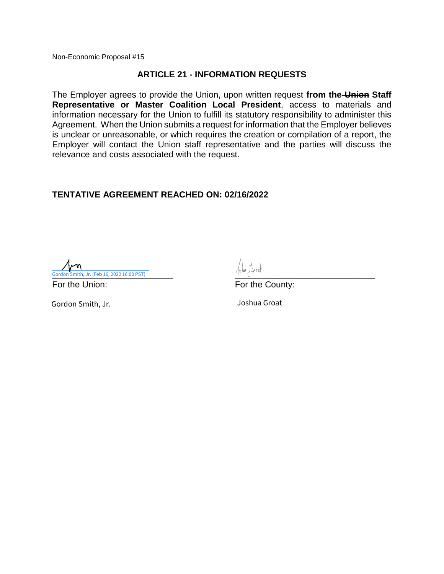### **ARTICLE 21 - INFORMATION REQUESTS**

The Employer agrees to provide the Union, upon written request **from the Union Staff Representative or Master Coalition Local President**, access to materials and information necessary for the Union to fulfill its statutory responsibility to administer this Agreement. When the Union submits a request for information that the Employer believes is unclear or unreasonable, or which requires the creation or compilation of a report, the Employer will contact the Union staff representative and the parties will discuss the relevance and costs associated with the request.

### **TENTATIVE AGREEMENT REACHED ON: 02/16/2022**

**Cordon Smith, Jr. (Feb 16, 2022 16:00 PST)** 

For the Union: The County: For the County:

Gordon Smith, Jr. **Gordon Smith, Jr.** 30 and 2008 and 30 and 30 and 30 and 30 and 30 and 30 and 30 and 30 and 30 and 30 and 30 and 30 and 30 and 30 and 30 and 30 and 30 and 30 and 30 and 30 and 30 and 30 and 30 and 30 and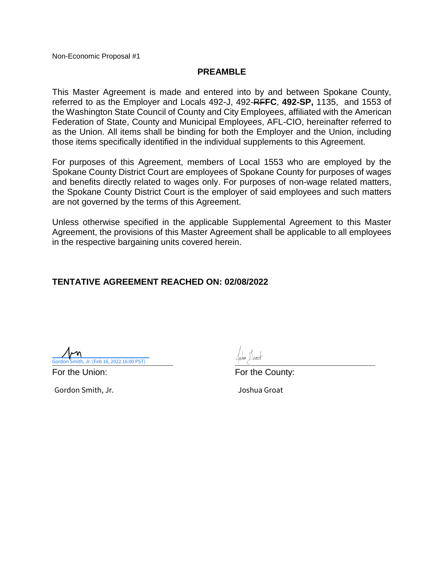### **PREAMBLE**

This Master Agreement is made and entered into by and between Spokane County, referred to as the Employer and Locals 492-J, 492-RF**FC**, **492-SP,** 1135, and 1553 of the Washington State Council of County and City Employees, affiliated with the American Federation of State, County and Municipal Employees, AFL-CIO, hereinafter referred to as the Union. All items shall be binding for both the Employer and the Union, including those items specifically identified in the individual supplements to this Agreement.

For purposes of this Agreement, members of Local 1553 who are employed by the Spokane County District Court are employees of Spokane County for purposes of wages and benefits directly related to wages only. For purposes of non-wage related matters, the Spokane County District Court is the employer of said employees and such matters are not governed by the terms of this Agreement.

Unless otherwise specified in the applicable Supplemental Agreement to this Master Agreement, the provisions of this Master Agreement shall be applicable to all employees in the respective bargaining units covered herein.

### **TENTATIVE AGREEMENT REACHED ON: 02/08/2022**

**Cordon Smith, Jr. (Feb 16, 2022 16:00 PST)** Gordon Smith, Jr. (Feb 16, 2022 16:00 PST)

Gordon Smith, Jr. 30. 2008 - Joshua Groat

For the Union: The County: For the County: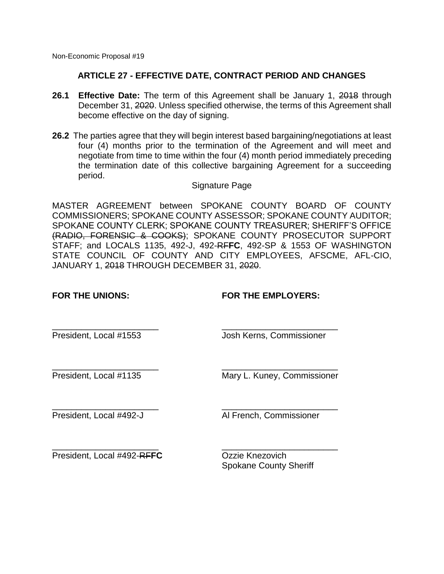### **ARTICLE 27 - EFFECTIVE DATE, CONTRACT PERIOD AND CHANGES**

- **26.1 Effective Date:** The term of this Agreement shall be January 1, 2018 through December 31, 2020. Unless specified otherwise, the terms of this Agreement shall become effective on the day of signing.
- **26.2** The parties agree that they will begin interest based bargaining/negotiations at least four (4) months prior to the termination of the Agreement and will meet and negotiate from time to time within the four (4) month period immediately preceding the termination date of this collective bargaining Agreement for a succeeding period.

Signature Page

MASTER AGREEMENT between SPOKANE COUNTY BOARD OF COUNTY COMMISSIONERS; SPOKANE COUNTY ASSESSOR; SPOKANE COUNTY AUDITOR; SPOKANE COUNTY CLERK; SPOKANE COUNTY TREASURER; SHERIFF'S OFFICE (RADIO, FORENSIC & COOKS); SPOKANE COUNTY PROSECUTOR SUPPORT STAFF; and LOCALS 1135, 492-J, 492-RF**FC**, 492-SP & 1553 OF WASHINGTON STATE COUNCIL OF COUNTY AND CITY EMPLOYEES, AFSCME, AFL-CIO, JANUARY 1, 2018 THROUGH DECEMBER 31, 2020.

**FOR THE UNIONS: FOR THE EMPLOYERS:**

President, Local #1553 Josh Kerns, Commissioner

\_\_\_\_\_\_\_\_\_\_\_\_\_\_\_\_\_\_\_\_\_\_ \_\_\_\_\_\_\_\_\_\_\_\_\_\_\_\_\_\_\_\_\_\_\_\_ President, Local #1135 Mary L. Kuney, Commissioner

\_\_\_\_\_\_\_\_\_\_\_\_\_\_\_\_\_\_\_\_\_\_ \_\_\_\_\_\_\_\_\_\_\_\_\_\_\_\_\_\_\_\_\_\_\_\_

\_\_\_\_\_\_\_\_\_\_\_\_\_\_\_\_\_\_\_\_\_\_ \_\_\_\_\_\_\_\_\_\_\_\_\_\_\_\_\_\_\_\_\_\_\_\_

\_\_\_\_\_\_\_\_\_\_\_\_\_\_\_\_\_\_\_\_\_\_ \_\_\_\_\_\_\_\_\_\_\_\_\_\_\_\_\_\_\_\_\_\_\_\_

President, Local #492-J Al French, Commissioner

President, Local #492-RFFC Ozzie Knezovich

Spokane County Sheriff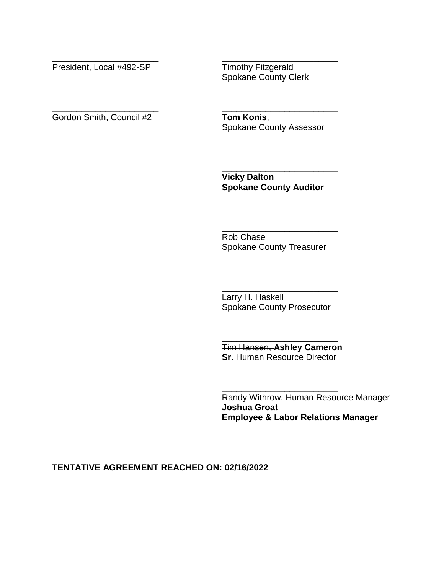President, Local #492-SP Timothy Fitzgerald

Spokane County Clerk

\_\_\_\_\_\_\_\_\_\_\_\_\_\_\_\_\_\_\_\_\_\_ \_\_\_\_\_\_\_\_\_\_\_\_\_\_\_\_\_\_\_\_\_\_\_\_

\_\_\_\_\_\_\_\_\_\_\_\_\_\_\_\_\_\_\_\_\_\_ \_\_\_\_\_\_\_\_\_\_\_\_\_\_\_\_\_\_\_\_\_\_\_\_ Gordon Smith, Council #2 **Tom Konis**,

Spokane County Assessor

\_\_\_\_\_\_\_\_\_\_\_\_\_\_\_\_\_\_\_\_\_\_\_\_ **Vicky Dalton Spokane County Auditor**

Rob Chase Spokane County Treasurer

\_\_\_\_\_\_\_\_\_\_\_\_\_\_\_\_\_\_\_\_\_\_\_\_

\_\_\_\_\_\_\_\_\_\_\_\_\_\_\_\_\_\_\_\_\_\_\_\_ Larry H. Haskell Spokane County Prosecutor

Tim Hansen, **Ashley Cameron Sr.** Human Resource Director

\_\_\_\_\_\_\_\_\_\_\_\_\_\_\_\_\_\_\_\_\_\_\_\_

\_\_\_\_\_\_\_\_\_\_\_\_\_\_\_\_\_\_\_\_\_\_\_\_

Randy Withrow, Human Resource Manager **Joshua Groat Employee & Labor Relations Manager**

### **TENTATIVE AGREEMENT REACHED ON: 02/16/2022**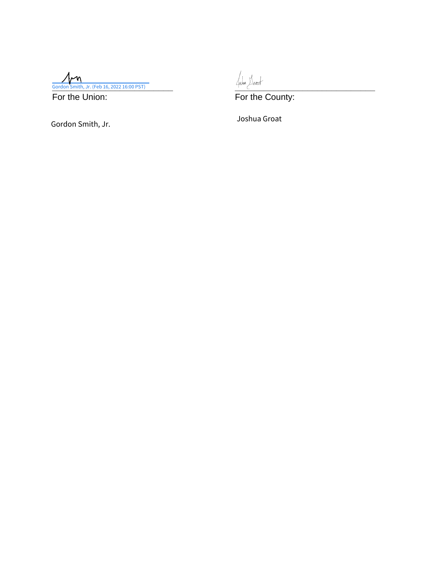**Cordon Smith, Jr. (Feb 16, 2022 16:00 PST)** 

For the Union: For the County:

Gordon Smith, Jr. Joshua Groat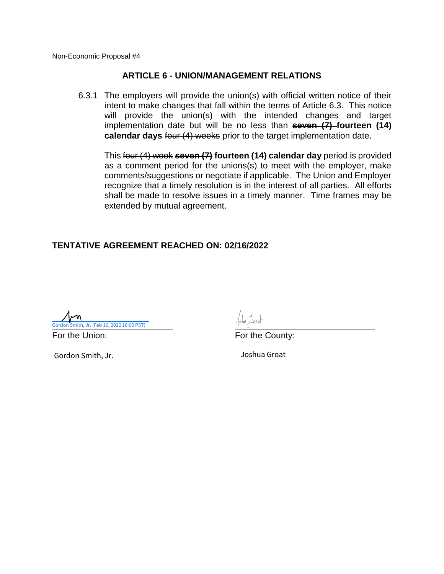### **ARTICLE 6 - UNION/MANAGEMENT RELATIONS**

6.3.1 The employers will provide the union(s) with official written notice of their intent to make changes that fall within the terms of Article 6.3. This notice will provide the union(s) with the intended changes and target implementation date but will be no less than **seven (7) fourteen (14) calendar days** four (4) weeks prior to the target implementation date.

This four (4) week **seven (7) fourteen (14) calendar day** period is provided as a comment period for the unions(s) to meet with the employer, make comments/suggestions or negotiate if applicable. The Union and Employer recognize that a timely resolution is in the interest of all parties. All efforts shall be made to resolve issues in a timely manner. Time frames may be extended by mutual agreement.

### **TENTATIVE AGREEMENT REACHED ON: 02/16/2022**

**Cordon Smith, Jr. (Feb 16, 2022 16:00 PST)** 

Gordon Smith, Jr. 30. 1992 - San Joshua Groat

For the Union: For the County: